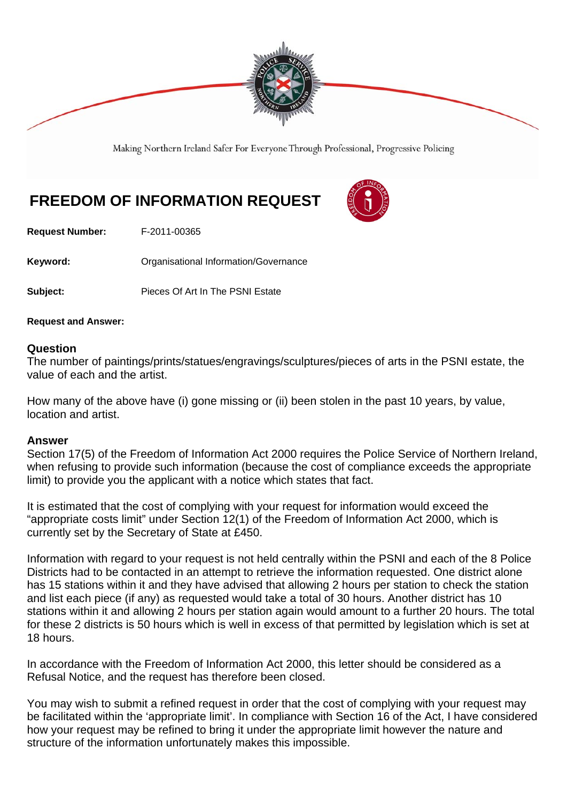

Making Northern Ireland Safer For Everyone Through Professional, Progressive Policing

## **FREEDOM OF INFORMATION REQUEST**

**Request Number:** F-2011-00365

**Keyword: C**rganisational Information/Governance

**Subject:** Pieces Of Art In The PSNI Estate

**Request and Answer:** 

## **Question**

The number of paintings/prints/statues/engravings/sculptures/pieces of arts in the PSNI estate, the value of each and the artist.

How many of the above have (i) gone missing or (ii) been stolen in the past 10 years, by value, location and artist.

## **Answer**

Section 17(5) of the Freedom of Information Act 2000 requires the Police Service of Northern Ireland, when refusing to provide such information (because the cost of compliance exceeds the appropriate limit) to provide you the applicant with a notice which states that fact.

It is estimated that the cost of complying with your request for information would exceed the "appropriate costs limit" under Section 12(1) of the Freedom of Information Act 2000, which is currently set by the Secretary of State at £450.

Information with regard to your request is not held centrally within the PSNI and each of the 8 Police Districts had to be contacted in an attempt to retrieve the information requested. One district alone has 15 stations within it and they have advised that allowing 2 hours per station to check the station and list each piece (if any) as requested would take a total of 30 hours. Another district has 10 stations within it and allowing 2 hours per station again would amount to a further 20 hours. The total for these 2 districts is 50 hours which is well in excess of that permitted by legislation which is set at 18 hours.

In accordance with the Freedom of Information Act 2000, this letter should be considered as a Refusal Notice, and the request has therefore been closed.

You may wish to submit a refined request in order that the cost of complying with your request may be facilitated within the 'appropriate limit'. In compliance with Section 16 of the Act, I have considered how your request may be refined to bring it under the appropriate limit however the nature and structure of the information unfortunately makes this impossible.